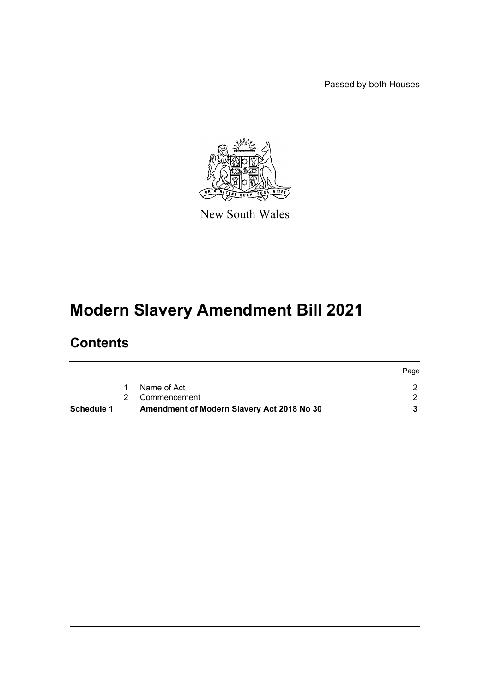Passed by both Houses



New South Wales

# **Modern Slavery Amendment Bill 2021**

# **Contents**

| Schedule 1 | Amendment of Modern Slavery Act 2018 No 30 |      |
|------------|--------------------------------------------|------|
|            | 2 Commencement                             |      |
|            | Name of Act                                |      |
|            |                                            | Page |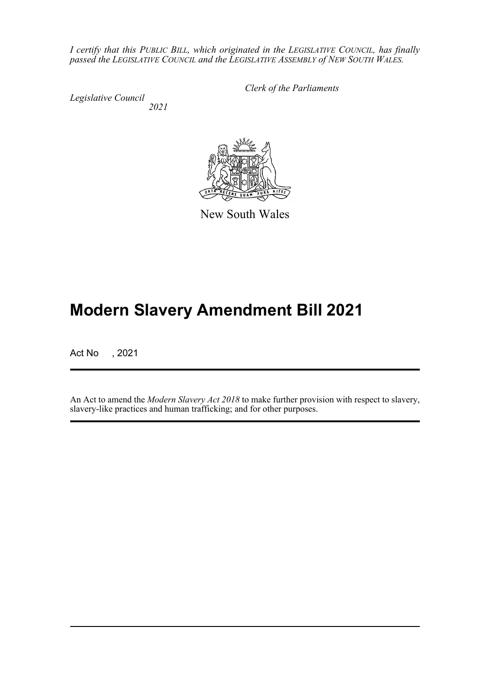*I certify that this PUBLIC BILL, which originated in the LEGISLATIVE COUNCIL, has finally passed the LEGISLATIVE COUNCIL and the LEGISLATIVE ASSEMBLY of NEW SOUTH WALES.*

*Legislative Council 2021* *Clerk of the Parliaments*



New South Wales

# **Modern Slavery Amendment Bill 2021**

Act No , 2021

An Act to amend the *Modern Slavery Act 2018* to make further provision with respect to slavery, slavery-like practices and human trafficking; and for other purposes.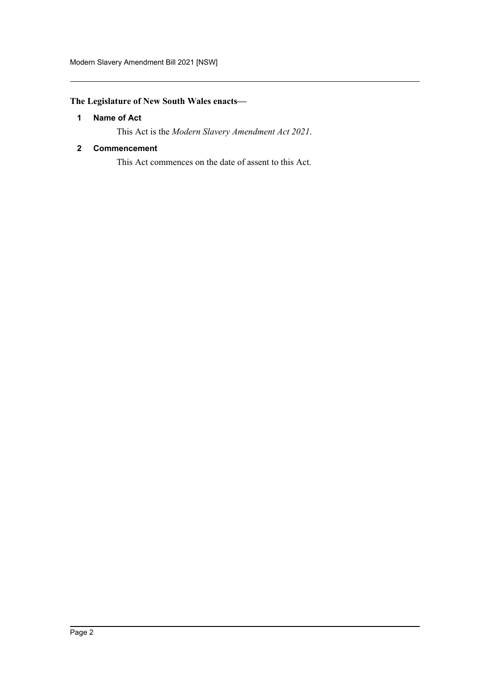# <span id="page-2-0"></span>**The Legislature of New South Wales enacts—**

## **1 Name of Act**

This Act is the *Modern Slavery Amendment Act 2021*.

## <span id="page-2-1"></span>**2 Commencement**

This Act commences on the date of assent to this Act.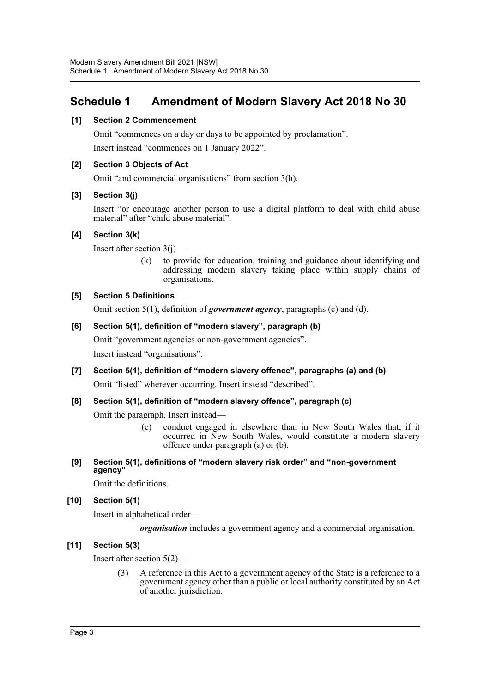# <span id="page-3-0"></span>**Schedule 1 Amendment of Modern Slavery Act 2018 No 30**

## **[1] Section 2 Commencement**

Omit "commences on a day or days to be appointed by proclamation".

Insert instead "commences on 1 January 2022".

## **[2] Section 3 Objects of Act**

Omit "and commercial organisations" from section 3(h).

## **[3] Section 3(j)**

Insert "or encourage another person to use a digital platform to deal with child abuse material" after "child abuse material".

## **[4] Section 3(k)**

Insert after section 3(j)—

(k) to provide for education, training and guidance about identifying and addressing modern slavery taking place within supply chains of organisations.

## **[5] Section 5 Definitions**

Omit section 5(1), definition of *government agency*, paragraphs (c) and (d).

## **[6] Section 5(1), definition of "modern slavery", paragraph (b)**

Omit "government agencies or non-government agencies". Insert instead "organisations".

**[7] Section 5(1), definition of "modern slavery offence", paragraphs (a) and (b)** Omit "listed" wherever occurring. Insert instead "described".

## **[8] Section 5(1), definition of "modern slavery offence", paragraph (c)**

Omit the paragraph. Insert instead—

- (c) conduct engaged in elsewhere than in New South Wales that, if it occurred in New South Wales, would constitute a modern slavery offence under paragraph (a) or (b).
- **[9] Section 5(1), definitions of "modern slavery risk order" and "non-government agency"**

Omit the definitions.

## **[10] Section 5(1)**

Insert in alphabetical order—

*organisation* includes a government agency and a commercial organisation.

## **[11] Section 5(3)**

Insert after section 5(2)—

(3) A reference in this Act to a government agency of the State is a reference to a government agency other than a public or local authority constituted by an Act of another jurisdiction.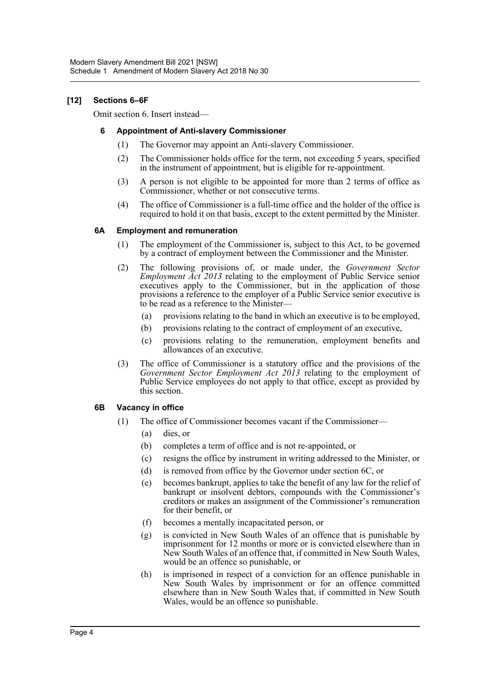## **[12] Sections 6–6F**

Omit section 6. Insert instead—

#### **6 Appointment of Anti-slavery Commissioner**

- (1) The Governor may appoint an Anti-slavery Commissioner.
- (2) The Commissioner holds office for the term, not exceeding 5 years, specified in the instrument of appointment, but is eligible for re-appointment.
- (3) A person is not eligible to be appointed for more than 2 terms of office as Commissioner, whether or not consecutive terms.
- (4) The office of Commissioner is a full-time office and the holder of the office is required to hold it on that basis, except to the extent permitted by the Minister.

#### **6A Employment and remuneration**

- (1) The employment of the Commissioner is, subject to this Act, to be governed by a contract of employment between the Commissioner and the Minister.
- (2) The following provisions of, or made under, the *Government Sector Employment Act 2013* relating to the employment of Public Service senior executives apply to the Commissioner, but in the application of those provisions a reference to the employer of a Public Service senior executive is to be read as a reference to the Minister—
	- (a) provisions relating to the band in which an executive is to be employed,
	- (b) provisions relating to the contract of employment of an executive,
	- (c) provisions relating to the remuneration, employment benefits and allowances of an executive.
- (3) The office of Commissioner is a statutory office and the provisions of the *Government Sector Employment Act 2013* relating to the employment of Public Service employees do not apply to that office, except as provided by this section.

#### **6B Vacancy in office**

- (1) The office of Commissioner becomes vacant if the Commissioner—
	- (a) dies, or
	- (b) completes a term of office and is not re-appointed, or
	- (c) resigns the office by instrument in writing addressed to the Minister, or
	- (d) is removed from office by the Governor under section 6C, or
	- (e) becomes bankrupt, applies to take the benefit of any law for the relief of bankrupt or insolvent debtors, compounds with the Commissioner's creditors or makes an assignment of the Commissioner's remuneration for their benefit, or
	- (f) becomes a mentally incapacitated person, or
	- (g) is convicted in New South Wales of an offence that is punishable by imprisonment for 12 months or more or is convicted elsewhere than in New South Wales of an offence that, if committed in New South Wales, would be an offence so punishable, or
	- (h) is imprisoned in respect of a conviction for an offence punishable in New South Wales by imprisonment or for an offence committed elsewhere than in New South Wales that, if committed in New South Wales, would be an offence so punishable.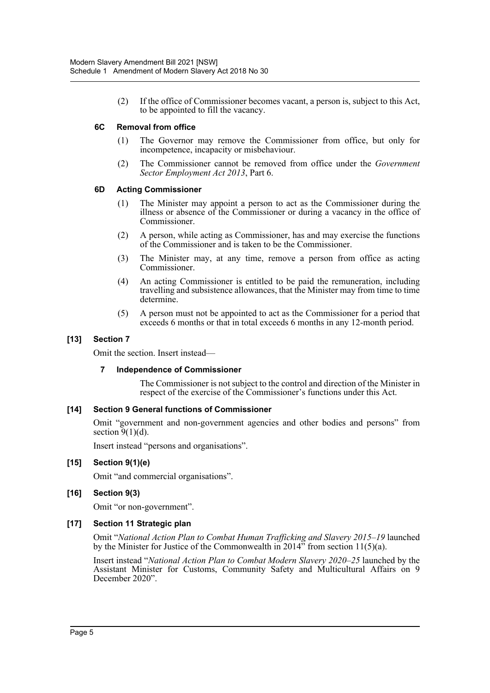(2) If the office of Commissioner becomes vacant, a person is, subject to this Act, to be appointed to fill the vacancy.

#### **6C Removal from office**

- (1) The Governor may remove the Commissioner from office, but only for incompetence, incapacity or misbehaviour.
- (2) The Commissioner cannot be removed from office under the *Government Sector Employment Act 2013*, Part 6.

## **6D Acting Commissioner**

- (1) The Minister may appoint a person to act as the Commissioner during the illness or absence of the Commissioner or during a vacancy in the office of Commissioner.
- (2) A person, while acting as Commissioner, has and may exercise the functions of the Commissioner and is taken to be the Commissioner.
- (3) The Minister may, at any time, remove a person from office as acting Commissioner.
- (4) An acting Commissioner is entitled to be paid the remuneration, including travelling and subsistence allowances, that the Minister may from time to time determine.
- (5) A person must not be appointed to act as the Commissioner for a period that exceeds 6 months or that in total exceeds 6 months in any 12-month period.

## **[13] Section 7**

Omit the section. Insert instead—

#### **7 Independence of Commissioner**

The Commissioner is not subject to the control and direction of the Minister in respect of the exercise of the Commissioner's functions under this Act.

#### **[14] Section 9 General functions of Commissioner**

Omit "government and non-government agencies and other bodies and persons" from section  $\overline{9}(1)(d)$ .

Insert instead "persons and organisations".

#### **[15] Section 9(1)(e)**

Omit "and commercial organisations".

#### **[16] Section 9(3)**

Omit "or non-government".

#### **[17] Section 11 Strategic plan**

Omit "*National Action Plan to Combat Human Trafficking and Slavery 2015–19* launched by the Minister for Justice of the Commonwealth in  $2014$ <sup>35</sup> from section 11(5)(a).

Insert instead "*National Action Plan to Combat Modern Slavery 2020–25* launched by the Assistant Minister for Customs, Community Safety and Multicultural Affairs on 9 December 2020".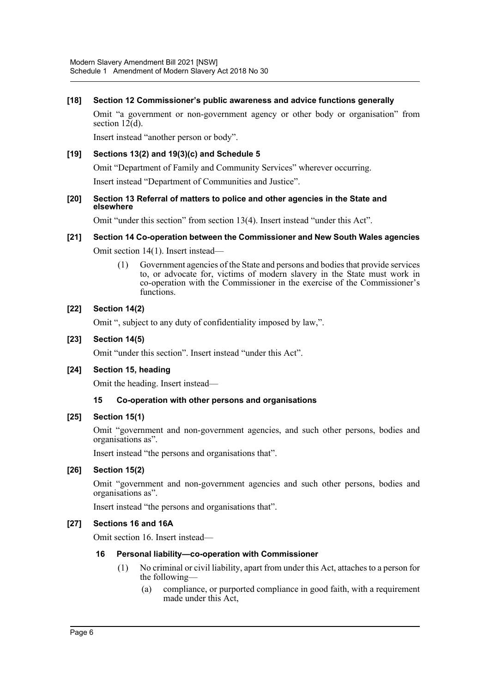#### **[18] Section 12 Commissioner's public awareness and advice functions generally**

Omit "a government or non-government agency or other body or organisation" from section 12(d).

Insert instead "another person or body".

## **[19] Sections 13(2) and 19(3)(c) and Schedule 5**

Omit "Department of Family and Community Services" wherever occurring.

Insert instead "Department of Communities and Justice".

#### **[20] Section 13 Referral of matters to police and other agencies in the State and elsewhere**

Omit "under this section" from section 13(4). Insert instead "under this Act".

## **[21] Section 14 Co-operation between the Commissioner and New South Wales agencies**

Omit section 14(1). Insert instead—

(1) Government agencies of the State and persons and bodies that provide services to, or advocate for, victims of modern slavery in the State must work in co-operation with the Commissioner in the exercise of the Commissioner's functions.

#### **[22] Section 14(2)**

Omit ", subject to any duty of confidentiality imposed by law,".

#### **[23] Section 14(5)**

Omit "under this section". Insert instead "under this Act".

#### **[24] Section 15, heading**

Omit the heading. Insert instead—

#### **15 Co-operation with other persons and organisations**

#### **[25] Section 15(1)**

Omit "government and non-government agencies, and such other persons, bodies and organisations as".

Insert instead "the persons and organisations that".

#### **[26] Section 15(2)**

Omit "government and non-government agencies and such other persons, bodies and organisations as".

Insert instead "the persons and organisations that".

#### **[27] Sections 16 and 16A**

Omit section 16. Insert instead—

#### **16 Personal liability—co-operation with Commissioner**

- (1) No criminal or civil liability, apart from under this Act, attaches to a person for the following—
	- (a) compliance, or purported compliance in good faith, with a requirement made under this Act,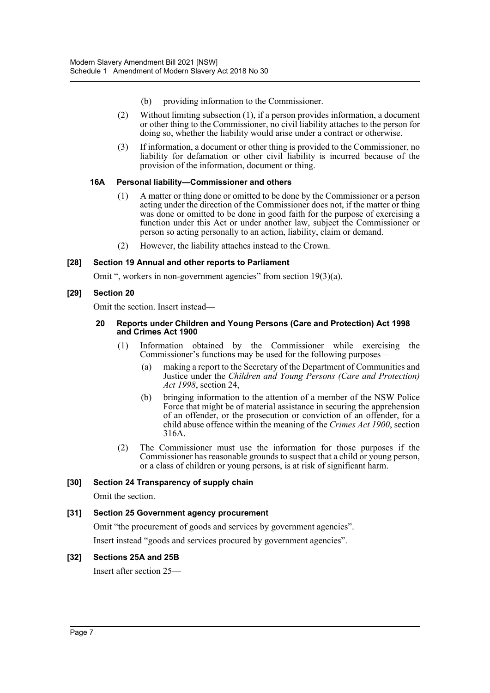- (b) providing information to the Commissioner.
- (2) Without limiting subsection (1), if a person provides information, a document or other thing to the Commissioner, no civil liability attaches to the person for doing so, whether the liability would arise under a contract or otherwise.
- (3) If information, a document or other thing is provided to the Commissioner, no liability for defamation or other civil liability is incurred because of the provision of the information, document or thing.

## **16A Personal liability—Commissioner and others**

- (1) A matter or thing done or omitted to be done by the Commissioner or a person acting under the direction of the Commissioner does not, if the matter or thing was done or omitted to be done in good faith for the purpose of exercising a function under this Act or under another law, subject the Commissioner or person so acting personally to an action, liability, claim or demand.
- (2) However, the liability attaches instead to the Crown.

## **[28] Section 19 Annual and other reports to Parliament**

Omit ", workers in non-government agencies" from section 19(3)(a).

## **[29] Section 20**

Omit the section. Insert instead—

#### **20 Reports under Children and Young Persons (Care and Protection) Act 1998 and Crimes Act 1900**

- (1) Information obtained by the Commissioner while exercising the Commissioner's functions may be used for the following purposes—
	- (a) making a report to the Secretary of the Department of Communities and Justice under the *Children and Young Persons (Care and Protection) Act 1998*, section 24,
	- (b) bringing information to the attention of a member of the NSW Police Force that might be of material assistance in securing the apprehension of an offender, or the prosecution or conviction of an offender, for a child abuse offence within the meaning of the *Crimes Act 1900*, section 316A.
- (2) The Commissioner must use the information for those purposes if the Commissioner has reasonable grounds to suspect that a child or young person, or a class of children or young persons, is at risk of significant harm.

## **[30] Section 24 Transparency of supply chain**

Omit the section.

## **[31] Section 25 Government agency procurement**

Omit "the procurement of goods and services by government agencies".

Insert instead "goods and services procured by government agencies".

## **[32] Sections 25A and 25B**

Insert after section 25—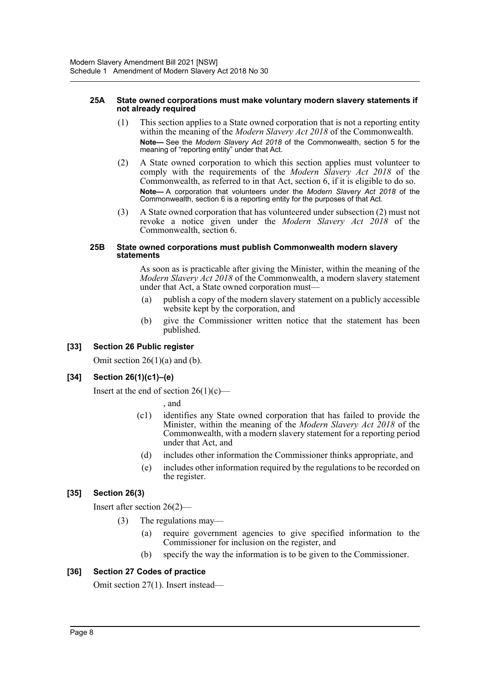#### **25A State owned corporations must make voluntary modern slavery statements if not already required**

- (1) This section applies to a State owned corporation that is not a reporting entity within the meaning of the *Modern Slavery Act 2018* of the Commonwealth. **Note—** See the *Modern Slavery Act 2018* of the Commonwealth, section 5 for the meaning of "reporting entity" under that Act.
- (2) A State owned corporation to which this section applies must volunteer to comply with the requirements of the *Modern Slavery Act 2018* of the Commonwealth, as referred to in that Act, section 6, if it is eligible to do so. **Note—** A corporation that volunteers under the *Modern Slavery Act 2018* of the Commonwealth, section 6 is a reporting entity for the purposes of that Act.
- (3) A State owned corporation that has volunteered under subsection (2) must not revoke a notice given under the *Modern Slavery Act 2018* of the Commonwealth, section 6.

#### **25B State owned corporations must publish Commonwealth modern slavery statements**

As soon as is practicable after giving the Minister, within the meaning of the *Modern Slavery Act 2018* of the Commonwealth, a modern slavery statement under that Act, a State owned corporation must—

- (a) publish a copy of the modern slavery statement on a publicly accessible website kept by the corporation, and
- (b) give the Commissioner written notice that the statement has been published.

## **[33] Section 26 Public register**

Omit section  $26(1)(a)$  and (b).

## **[34] Section 26(1)(c1)–(e)**

Insert at the end of section  $26(1)(c)$ —

, and

- (c1) identifies any State owned corporation that has failed to provide the Minister, within the meaning of the *Modern Slavery Act 2018* of the Commonwealth, with a modern slavery statement for a reporting period under that Act, and
- (d) includes other information the Commissioner thinks appropriate, and
- (e) includes other information required by the regulations to be recorded on the register.

## **[35] Section 26(3)**

Insert after section 26(2)—

- (3) The regulations may—
	- (a) require government agencies to give specified information to the Commissioner for inclusion on the register, and
	- (b) specify the way the information is to be given to the Commissioner.

## **[36] Section 27 Codes of practice**

Omit section 27(1). Insert instead—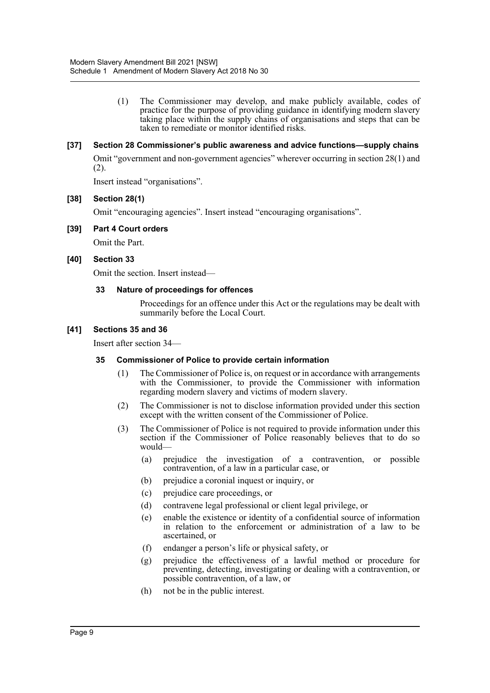(1) The Commissioner may develop, and make publicly available, codes of practice for the purpose of providing guidance in identifying modern slavery taking place within the supply chains of organisations and steps that can be taken to remediate or monitor identified risks.

#### **[37] Section 28 Commissioner's public awareness and advice functions—supply chains**

Omit "government and non-government agencies" wherever occurring in section 28(1) and (2).

Insert instead "organisations".

#### **[38] Section 28(1)**

Omit "encouraging agencies". Insert instead "encouraging organisations".

## **[39] Part 4 Court orders**

Omit the Part.

## **[40] Section 33**

Omit the section. Insert instead—

#### **33 Nature of proceedings for offences**

Proceedings for an offence under this Act or the regulations may be dealt with summarily before the Local Court.

## **[41] Sections 35 and 36**

Insert after section 34—

#### **35 Commissioner of Police to provide certain information**

- (1) The Commissioner of Police is, on request or in accordance with arrangements with the Commissioner, to provide the Commissioner with information regarding modern slavery and victims of modern slavery.
- (2) The Commissioner is not to disclose information provided under this section except with the written consent of the Commissioner of Police.
- (3) The Commissioner of Police is not required to provide information under this section if the Commissioner of Police reasonably believes that to do so would—
	- (a) prejudice the investigation of a contravention, or possible contravention, of a law in a particular case, or
	- (b) prejudice a coronial inquest or inquiry, or
	- (c) prejudice care proceedings, or
	- (d) contravene legal professional or client legal privilege, or
	- (e) enable the existence or identity of a confidential source of information in relation to the enforcement or administration of a law to be ascertained, or
	- (f) endanger a person's life or physical safety, or
	- (g) prejudice the effectiveness of a lawful method or procedure for preventing, detecting, investigating or dealing with a contravention, or possible contravention, of a law, or
	- (h) not be in the public interest.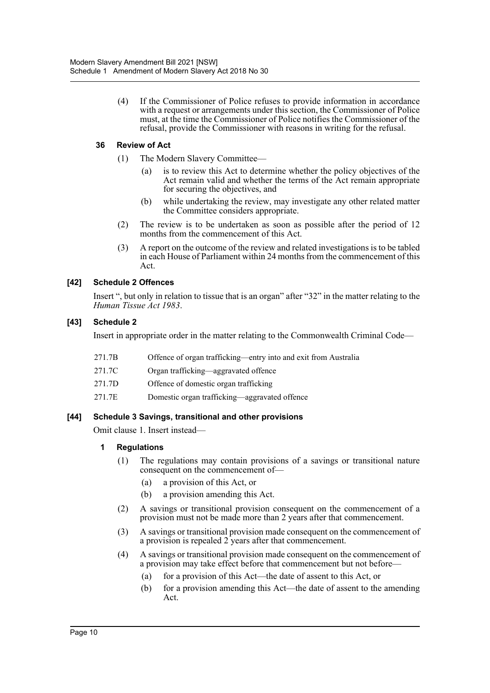(4) If the Commissioner of Police refuses to provide information in accordance with a request or arrangements under this section, the Commissioner of Police must, at the time the Commissioner of Police notifies the Commissioner of the refusal, provide the Commissioner with reasons in writing for the refusal.

## **36 Review of Act**

- (1) The Modern Slavery Committee—
	- (a) is to review this Act to determine whether the policy objectives of the Act remain valid and whether the terms of the Act remain appropriate for securing the objectives, and
	- (b) while undertaking the review, may investigate any other related matter the Committee considers appropriate.
- (2) The review is to be undertaken as soon as possible after the period of 12 months from the commencement of this Act.
- (3) A report on the outcome of the review and related investigations is to be tabled in each House of Parliament within 24 months from the commencement of this Act.

## **[42] Schedule 2 Offences**

Insert ", but only in relation to tissue that is an organ" after "32" in the matter relating to the *Human Tissue Act 1983*.

## **[43] Schedule 2**

Insert in appropriate order in the matter relating to the Commonwealth Criminal Code—

- 271.7B Offence of organ trafficking—entry into and exit from Australia
- 271.7C Organ trafficking—aggravated offence
- 271.7D Offence of domestic organ trafficking
- 271.7E Domestic organ trafficking—aggravated offence

#### **[44] Schedule 3 Savings, transitional and other provisions**

Omit clause 1. Insert instead—

#### **1 Regulations**

- (1) The regulations may contain provisions of a savings or transitional nature consequent on the commencement of—
	- (a) a provision of this Act, or
	- (b) a provision amending this Act.
- (2) A savings or transitional provision consequent on the commencement of a provision must not be made more than 2 years after that commencement.
- (3) A savings or transitional provision made consequent on the commencement of a provision is repealed 2 years after that commencement.
- (4) A savings or transitional provision made consequent on the commencement of a provision may take effect before that commencement but not before—
	- (a) for a provision of this Act—the date of assent to this Act, or
	- (b) for a provision amending this Act—the date of assent to the amending Act.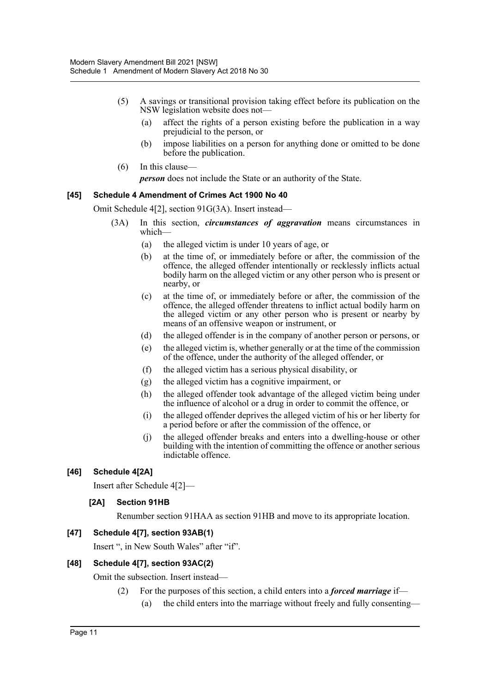- (5) A savings or transitional provision taking effect before its publication on the NSW legislation website does not—
	- (a) affect the rights of a person existing before the publication in a way prejudicial to the person, or
	- (b) impose liabilities on a person for anything done or omitted to be done before the publication.
- (6) In this clause—

*person* does not include the State or an authority of the State.

## **[45] Schedule 4 Amendment of Crimes Act 1900 No 40**

Omit Schedule 4[2], section 91G(3A). Insert instead—

- (3A) In this section, *circumstances of aggravation* means circumstances in which—
	- (a) the alleged victim is under 10 years of age, or
	- (b) at the time of, or immediately before or after, the commission of the offence, the alleged offender intentionally or recklessly inflicts actual bodily harm on the alleged victim or any other person who is present or nearby, or
	- (c) at the time of, or immediately before or after, the commission of the offence, the alleged offender threatens to inflict actual bodily harm on the alleged victim or any other person who is present or nearby by means of an offensive weapon or instrument, or
	- (d) the alleged offender is in the company of another person or persons, or
	- (e) the alleged victim is, whether generally or at the time of the commission of the offence, under the authority of the alleged offender, or
	- (f) the alleged victim has a serious physical disability, or
	- (g) the alleged victim has a cognitive impairment, or
	- (h) the alleged offender took advantage of the alleged victim being under the influence of alcohol or a drug in order to commit the offence, or
	- (i) the alleged offender deprives the alleged victim of his or her liberty for a period before or after the commission of the offence, or
	- (j) the alleged offender breaks and enters into a dwelling-house or other building with the intention of committing the offence or another serious indictable offence.

## **[46] Schedule 4[2A]**

Insert after Schedule 4[2]—

#### **[2A] Section 91HB**

Renumber section 91HAA as section 91HB and move to its appropriate location.

#### **[47] Schedule 4[7], section 93AB(1)**

Insert ", in New South Wales" after "if".

#### **[48] Schedule 4[7], section 93AC(2)**

Omit the subsection. Insert instead—

(2) For the purposes of this section, a child enters into a *forced marriage* if— (a) the child enters into the marriage without freely and fully consenting—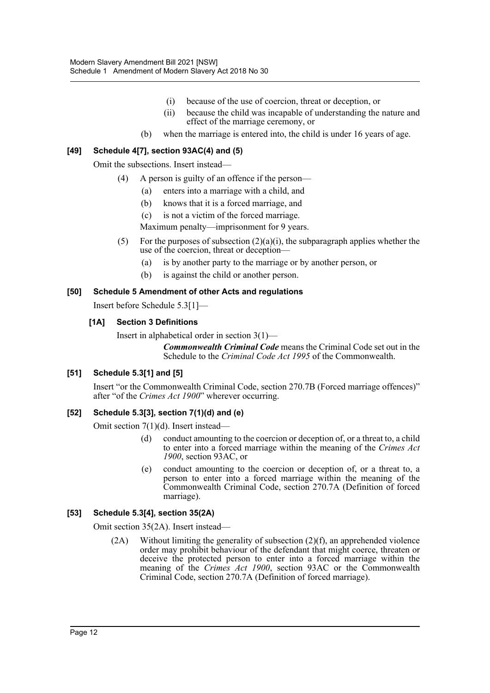- (i) because of the use of coercion, threat or deception, or
- (ii) because the child was incapable of understanding the nature and effect of the marriage ceremony, or
- (b) when the marriage is entered into, the child is under 16 years of age.

## **[49] Schedule 4[7], section 93AC(4) and (5)**

Omit the subsections. Insert instead—

- (4) A person is guilty of an offence if the person—
	- (a) enters into a marriage with a child, and
	- (b) knows that it is a forced marriage, and
	- (c) is not a victim of the forced marriage.

Maximum penalty—imprisonment for 9 years.

- (5) For the purposes of subsection  $(2)(a)(i)$ , the subparagraph applies whether the use of the coercion, threat or deception—
	- (a) is by another party to the marriage or by another person, or
	- (b) is against the child or another person.

## **[50] Schedule 5 Amendment of other Acts and regulations**

Insert before Schedule 5.3[1]—

## **[1A] Section 3 Definitions**

Insert in alphabetical order in section 3(1)—

*Commonwealth Criminal Code* means the Criminal Code set out in the Schedule to the *Criminal Code Act 1995* of the Commonwealth.

## **[51] Schedule 5.3[1] and [5]**

Insert "or the Commonwealth Criminal Code, section 270.7B (Forced marriage offences)" after "of the *Crimes Act 1900*" wherever occurring.

#### **[52] Schedule 5.3[3], section 7(1)(d) and (e)**

Omit section 7(1)(d). Insert instead—

- (d) conduct amounting to the coercion or deception of, or a threat to, a child to enter into a forced marriage within the meaning of the *Crimes Act 1900*, section 93AC, or
- (e) conduct amounting to the coercion or deception of, or a threat to, a person to enter into a forced marriage within the meaning of the Commonwealth Criminal Code, section 270.7A (Definition of forced marriage).

## **[53] Schedule 5.3[4], section 35(2A)**

Omit section 35(2A). Insert instead—

(2A) Without limiting the generality of subsection (2)(f), an apprehended violence order may prohibit behaviour of the defendant that might coerce, threaten or deceive the protected person to enter into a forced marriage within the meaning of the *Crimes Act 1900*, section 93AC or the Commonwealth Criminal Code, section 270.7A (Definition of forced marriage).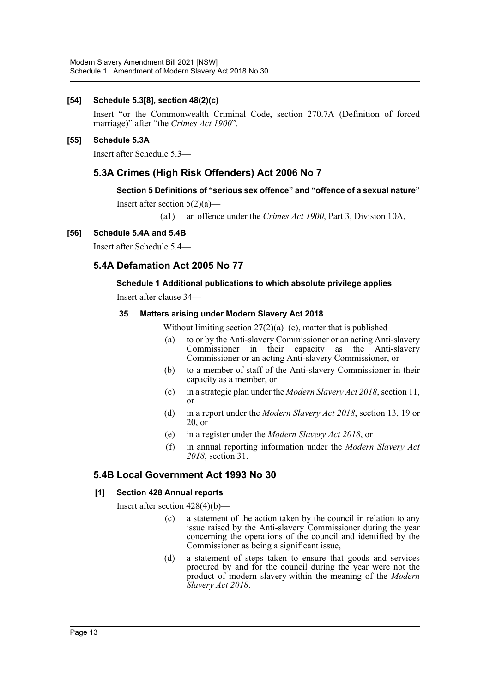## **[54] Schedule 5.3[8], section 48(2)(c)**

Insert "or the Commonwealth Criminal Code, section 270.7A (Definition of forced marriage)" after "the *Crimes Act 1900*".

#### **[55] Schedule 5.3A**

Insert after Schedule 5.3—

# **5.3A Crimes (High Risk Offenders) Act 2006 No 7**

## **Section 5 Definitions of "serious sex offence" and "offence of a sexual nature"**

Insert after section  $5(2)(a)$ —

(a1) an offence under the *Crimes Act 1900*, Part 3, Division 10A,

## **[56] Schedule 5.4A and 5.4B**

Insert after Schedule 5.4—

## **5.4A Defamation Act 2005 No 77**

## **Schedule 1 Additional publications to which absolute privilege applies**

Insert after clause 34—

#### **35 Matters arising under Modern Slavery Act 2018**

Without limiting section  $27(2)(a)$ –(c), matter that is published—

- (a) to or by the Anti-slavery Commissioner or an acting Anti-slavery Commissioner in their capacity as the Anti-slavery Commissioner or an acting Anti-slavery Commissioner, or
- (b) to a member of staff of the Anti-slavery Commissioner in their capacity as a member, or
- (c) in a strategic plan under the *Modern Slavery Act 2018*, section 11, or
- (d) in a report under the *Modern Slavery Act 2018*, section 13, 19 or 20, or
- (e) in a register under the *Modern Slavery Act 2018*, or
- (f) in annual reporting information under the *Modern Slavery Act 2018*, section 31.

## **5.4B Local Government Act 1993 No 30**

#### **[1] Section 428 Annual reports**

Insert after section 428(4)(b)—

- (c) a statement of the action taken by the council in relation to any issue raised by the Anti-slavery Commissioner during the year concerning the operations of the council and identified by the Commissioner as being a significant issue,
- (d) a statement of steps taken to ensure that goods and services procured by and for the council during the year were not the product of modern slavery within the meaning of the *Modern Slavery Act 2018*.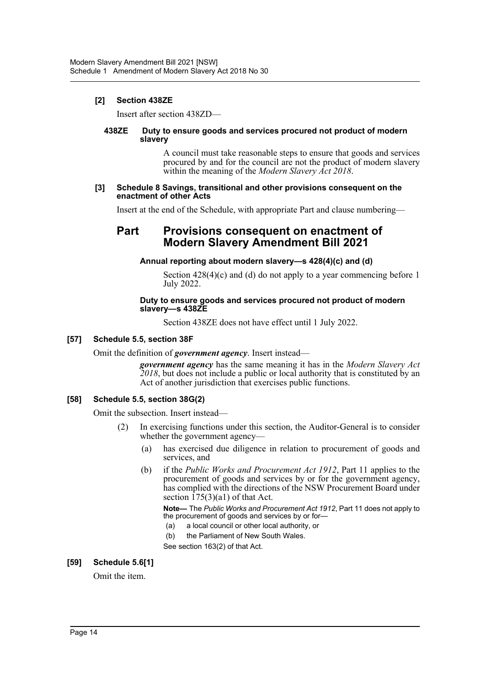## **[2] Section 438ZE**

Insert after section 438ZD—

#### **438ZE Duty to ensure goods and services procured not product of modern slavery**

A council must take reasonable steps to ensure that goods and services procured by and for the council are not the product of modern slavery within the meaning of the *Modern Slavery Act 2018*.

#### **[3] Schedule 8 Savings, transitional and other provisions consequent on the enactment of other Acts**

Insert at the end of the Schedule, with appropriate Part and clause numbering—

# **Part Provisions consequent on enactment of Modern Slavery Amendment Bill 2021**

#### **Annual reporting about modern slavery—s 428(4)(c) and (d)**

Section  $428(4)(c)$  and (d) do not apply to a year commencing before 1 July 2022.

#### **Duty to ensure goods and services procured not product of modern slavery—s 438ZE**

Section 438ZE does not have effect until 1 July 2022.

## **[57] Schedule 5.5, section 38F**

Omit the definition of *government agency*. Insert instead—

*government agency* has the same meaning it has in the *Modern Slavery Act 2018*, but does not include a public or local authority that is constituted by an Act of another jurisdiction that exercises public functions.

## **[58] Schedule 5.5, section 38G(2)**

Omit the subsection. Insert instead—

- (2) In exercising functions under this section, the Auditor-General is to consider whether the government agency—
	- (a) has exercised due diligence in relation to procurement of goods and services, and
	- (b) if the *Public Works and Procurement Act 1912*, Part 11 applies to the procurement of goods and services by or for the government agency, has complied with the directions of the NSW Procurement Board under section  $\overline{175(3)}$ (a1) of that Act.

**Note—** The *Public Works and Procurement Act 1912*, Part 11 does not apply to the procurement of goods and services by or for—

- (a) a local council or other local authority, or
- (b) the Parliament of New South Wales.
- See section 163(2) of that Act.

#### **[59] Schedule 5.6[1]**

Omit the item.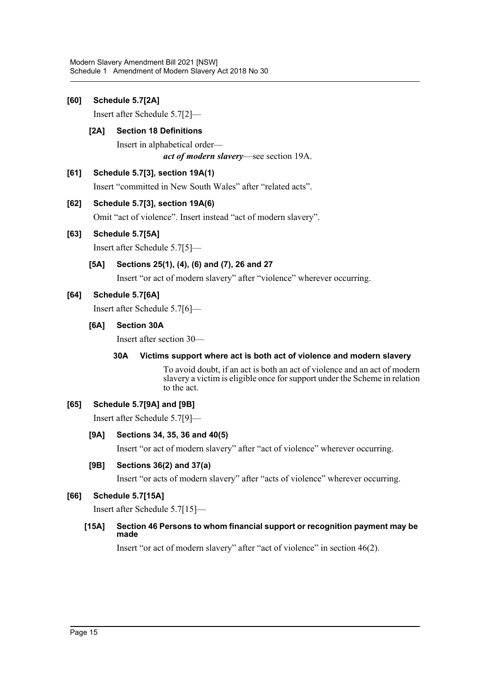## **[60] Schedule 5.7[2A]**

Insert after Schedule 5.7[2]—

## **[2A] Section 18 Definitions**

Insert in alphabetical order *act of modern slavery*—see section 19A.

## **[61] Schedule 5.7[3], section 19A(1)**

Insert "committed in New South Wales" after "related acts".

## **[62] Schedule 5.7[3], section 19A(6)**

Omit "act of violence". Insert instead "act of modern slavery".

## **[63] Schedule 5.7[5A]**

Insert after Schedule 5.7[5]—

# **[5A] Sections 25(1), (4), (6) and (7), 26 and 27**

Insert "or act of modern slavery" after "violence" wherever occurring.

## **[64] Schedule 5.7[6A]**

Insert after Schedule 5.7[6]—

#### **[6A] Section 30A**

Insert after section 30—

#### **30A Victims support where act is both act of violence and modern slavery**

To avoid doubt, if an act is both an act of violence and an act of modern slavery a victim is eligible once for support under the Scheme in relation to the act.

#### **[65] Schedule 5.7[9A] and [9B]**

Insert after Schedule 5.7[9]—

#### **[9A] Sections 34, 35, 36 and 40(5)**

Insert "or act of modern slavery" after "act of violence" wherever occurring.

#### **[9B] Sections 36(2) and 37(a)**

Insert "or acts of modern slavery" after "acts of violence" wherever occurring.

#### **[66] Schedule 5.7[15A]**

Insert after Schedule 5.7[15]—

## **[15A] Section 46 Persons to whom financial support or recognition payment may be made**

Insert "or act of modern slavery" after "act of violence" in section 46(2).